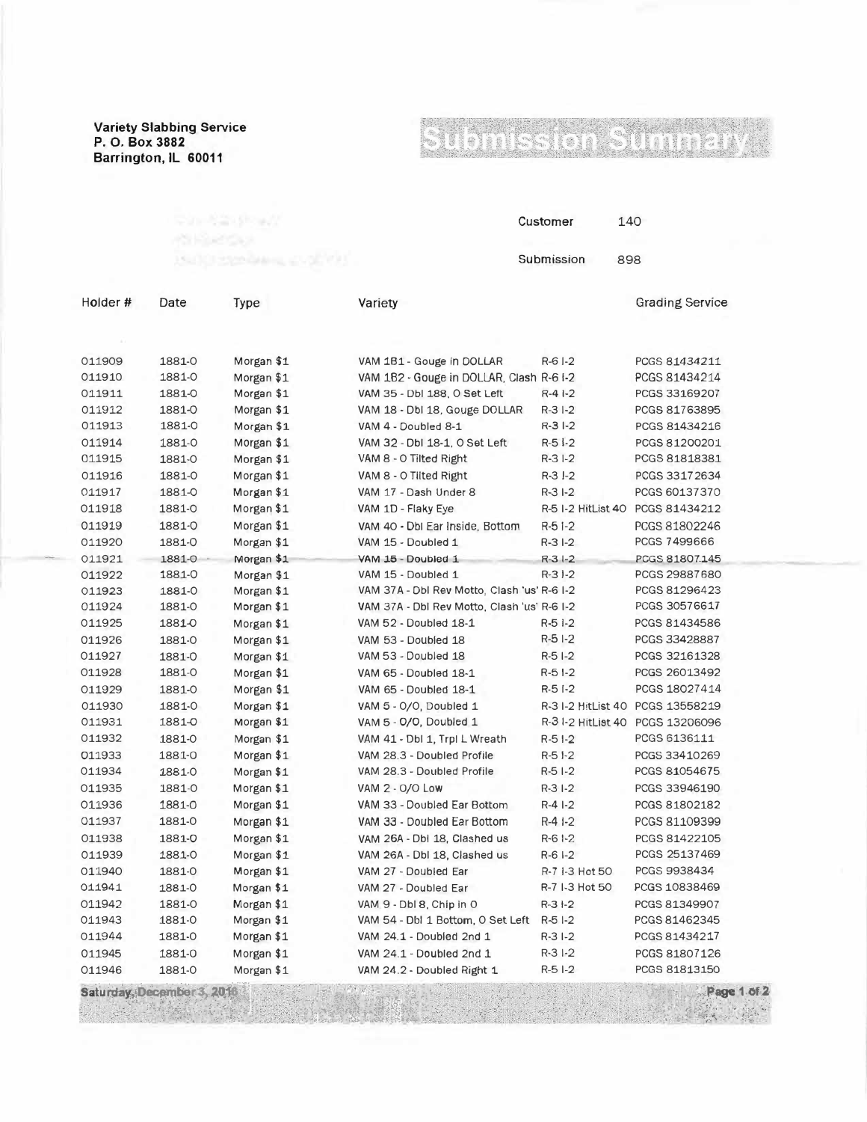**Variety Slabbing Service P. 0. Box 3882 Barrington, IL 60011**

Date

## ÷, 181438 ego.

Customer 140 Submission 898

Grading Service

Holder#

Type

(1) 아버지다

| 011909 | 1881-0 | Morgan \$1 | VAM 1B1 - Gouge in DOLLAR                   | $R-6$ $I-2$        | PCGS 81434211                    |
|--------|--------|------------|---------------------------------------------|--------------------|----------------------------------|
| 011910 | 1881-0 | Morgan \$1 | VAM 1B2 - Gouge in DOLLAR, Clash R-6 I-2    |                    | PCGS 81434214                    |
| 011911 | 1881-0 | Morgan \$1 | VAM 35 - Dbl 188, O Set Left                | $R-41-2$           | PCGS 33169207                    |
| 011912 | 1881-0 | Morgan \$1 | VAM 18 - Dbl 18, Gouge DOLLAR               | $R-31-2$           | PCGS 81763895                    |
| 011913 | 1881-0 | Morgan \$1 | VAM 4 - Doubled 8-1                         | $R-3I-2$           | PCGS 81434216                    |
| 011914 | 1881-0 | Morgan \$1 | VAM 32 - Dbl 18-1, O Set Left               | $R-51-2$           | PCGS 81200201                    |
| 011915 | 1881-0 | Morgan \$1 | VAM 8 - O Tilted Right                      | $R-31-2$           | PCGS 81818381                    |
| 011916 | 1881-0 | Morgan \$1 | VAM 8 - O Tilted Right                      | $R-3$ $I-2$        | PCGS 33172634                    |
| 011917 | 1881-0 | Morgan \$1 | VAM 17 - Dash Under 8                       | $R - 3I - 2$       | PCGS 60137370                    |
| 011918 | 1881-0 | Morgan \$1 | VAM 1D - Flaky Eye                          | R-5 I-2 HitList 40 | PCGS 81434212                    |
| 011919 | 1881-0 | Morgan \$1 | VAM 40 - Dbl Ear Inside, Bottom             | $R-51-2$           | PCGS 81802246                    |
| 011920 | 1881-0 | Morgan \$1 | VAM 15 - Doubled 1                          | $R-3I-2$           | PCGS 7499666                     |
| 011921 | 1881-0 | Morgan \$1 | VAM 15 - Doubled 1                          | $R - 3 - 2$        | PCGS 81807.145                   |
| 011922 | 1881-0 | Morgan \$1 | VAM 15 - Doubled 1                          | $R-3$ $-2$         | PCGS 29887680                    |
| 011923 | 1881-0 | Morgan \$1 | VAM 37A - Dbl Rev Motto, Clash 'us' R-6 I-2 |                    | PCGS 81296423                    |
| 011924 | 1881-0 | Morgan \$1 | VAM 37A - Dbl Rev Motto, Clash 'us' R-6 I-2 |                    | PCGS 30576617                    |
| 011925 | 1881-0 | Morgan \$1 | VAM 52 - Doubled 18-1                       | $R-51-2$           | PCGS 81434586                    |
| 011926 | 1881-0 | Morgan \$1 | VAM 53 - Doubled 18                         | $R-51-2$           | PCGS 33428887                    |
| 011927 | 1881-0 | Morgan \$1 | VAM 53 - Doubled 18                         | $R-5I-2$           | PCGS 32161328                    |
| 011928 | 1881-0 | Morgan \$1 | VAM 65 - Doubled 18-1                       | $R-51-2$           | PCGS 26013492                    |
| 011929 | 1881-0 | Morgan \$1 | VAM 65 - Doubled 18-1                       | $R-51-2$           | PCGS 18027414                    |
| 011930 | 1881-0 | Morgan \$1 | VAM 5 - 0/0, Doubled 1                      |                    | R-31-2 HitList 40 PCGS 13558219  |
| 011931 | 1881-0 | Morgan \$1 | VAM 5 - O/O, Doubled 1                      |                    | R-3 1-2 HitList 40 PCGS 13206096 |
| 011932 | 1881-0 | Morgan \$1 | VAM 41 - Dbl 1, Trpl L Wreath               | $R-51-2$           | PCGS 6136111                     |
| 011933 | 1881-0 | Morgan \$1 | VAM 28.3 - Doubled Profile                  | $R-5$ $-2$         | PCGS 33410269                    |
| 011934 | 1881-0 | Morgan \$1 | VAM 28.3 - Doubled Profile                  | $R-51-2$           | PCGS 81054675                    |
| 011935 | 1881-0 | Morgan \$1 | VAM 2 - O/O Low                             | $R-3I-2$           | PCGS 33946190                    |
| 011936 | 1881-0 | Morgan \$1 | VAM 33 - Doubled Ear Bottom                 | $R-41-2$           | PCGS 81802182                    |
| 011937 | 1881-0 | Morgan \$1 | VAM 33 - Doubled Ear Bottom                 | $R-41-2$           | PCGS 81109399                    |
| 011938 | 1881-0 | Morgan \$1 | VAM 26A - Dbl 18, Clashed us                | $R - 61 - 2$       | PCGS 81422105                    |
| 011939 | 1881-0 | Morgan \$1 | VAM 26A - Dbl 18, Clashed us                | $R-6I-2$           | PCGS 25137469                    |
| 011940 | 1881-0 | Morgan \$1 | VAM 27 - Doubled Ear                        | R-7 1-3 Hot 50     | PCGS 9938434                     |
| 011941 | 1881-0 | Morgan \$1 | VAM 27 - Doubled Ear                        | R-7 I-3 Hot 50     | PCGS 10838469                    |
| 011942 | 1881-0 | Morgan \$1 | VAM 9 - Dbl 8, Chip in O                    | $R-31-2$           | PCGS 81349907                    |
| 011943 | 1881-0 | Morgan \$1 | VAM 54 - Dbl 1 Bottom, O Set Left           | $R - 51 - 2$       | PCGS 81462345                    |
| 011944 | 1881-0 | Morgan \$1 | VAM 24.1 - Doubled 2nd 1                    | $R-3I-2$           | PCGS 81434217                    |
| 011945 | 1881-0 | Morgan \$1 | VAM 24.1 - Doubled 2nd 1                    | $R-31-2$           | PCGS 81807126                    |
| 011946 | 1881-0 | Morgan \$1 | VAM 24.2 - Doubled Right 1                  | $R-5$ $-2$         | PCGS 81813150                    |
|        |        |            |                                             |                    |                                  |

 $\mathcal{A}$ , i.e.,  $\mathcal{B}$ 

Variety

Saturday, December 3, 2016

Page 1 of 2